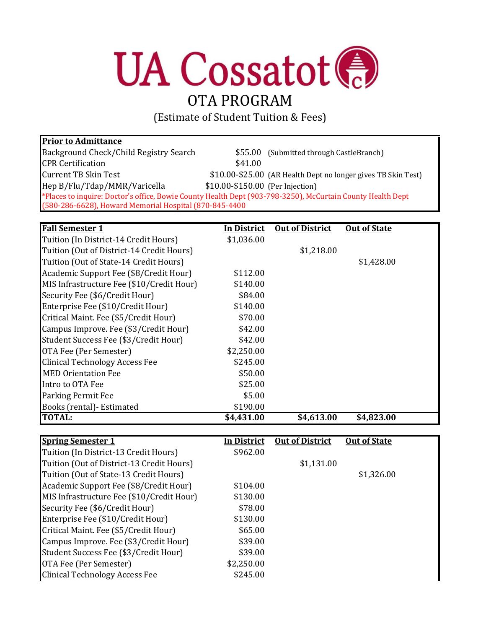## **UA Cossatot ®**

## OTA PROGRAM

(Estimate of Student Tuition & Fees)

## **Prior to Admittance**

| Background Check/Child Registry Search                  | \$55.00 (Submitted through CastleBranch)                                                                   |
|---------------------------------------------------------|------------------------------------------------------------------------------------------------------------|
| <b>CPR Certification</b>                                | \$41.00                                                                                                    |
| <b>Current TB Skin Test</b>                             | \$10.00-\$25.00 (AR Health Dept no longer gives TB Skin Test)                                              |
| Hep B/Flu/Tdap/MMR/Varicella                            | \$10.00-\$150.00 (Per Injection)                                                                           |
|                                                         | *Places to inquire: Doctor's office, Bowie County Health Dept (903-798-3250), McCurtain County Health Dept |
| (580-286-6628), Howard Memorial Hospital (870-845-4400) |                                                                                                            |

| <b>Fall Semester 1</b>                    | <u>In District</u> | <b>Out of District</b> | <b>Out of State</b> |
|-------------------------------------------|--------------------|------------------------|---------------------|
| Tuition (In District-14 Credit Hours)     | \$1,036.00         |                        |                     |
| Tuition (Out of District-14 Credit Hours) |                    | \$1,218.00             |                     |
| Tuition (Out of State-14 Credit Hours)    |                    |                        | \$1,428.00          |
| Academic Support Fee (\$8/Credit Hour)    | \$112.00           |                        |                     |
| MIS Infrastructure Fee (\$10/Credit Hour) | \$140.00           |                        |                     |
| Security Fee (\$6/Credit Hour)            | \$84.00            |                        |                     |
| Enterprise Fee (\$10/Credit Hour)         | \$140.00           |                        |                     |
| Critical Maint. Fee (\$5/Credit Hour)     | \$70.00            |                        |                     |
| Campus Improve. Fee (\$3/Credit Hour)     | \$42.00            |                        |                     |
| Student Success Fee (\$3/Credit Hour)     | \$42.00            |                        |                     |
| OTA Fee (Per Semester)                    | \$2,250.00         |                        |                     |
| Clinical Technology Access Fee            | \$245.00           |                        |                     |
| <b>MED Orientation Fee</b>                | \$50.00            |                        |                     |
| Intro to OTA Fee                          | \$25.00            |                        |                     |
| <b>Parking Permit Fee</b>                 | \$5.00             |                        |                     |
| Books (rental) - Estimated                | \$190.00           |                        |                     |
| <b>TOTAL:</b>                             | \$4,431.00         | \$4,613.00             | \$4,823.00          |

| <b>Spring Semester 1</b>                  | <b>In District</b> | <b>Out of District</b> | <b>Out of State</b> |
|-------------------------------------------|--------------------|------------------------|---------------------|
| Tuition (In District-13 Credit Hours)     | \$962.00           |                        |                     |
| Tuition (Out of District-13 Credit Hours) |                    | \$1,131.00             |                     |
| Tuition (Out of State-13 Credit Hours)    |                    |                        | \$1,326.00          |
| Academic Support Fee (\$8/Credit Hour)    | \$104.00           |                        |                     |
| MIS Infrastructure Fee (\$10/Credit Hour) | \$130.00           |                        |                     |
| Security Fee (\$6/Credit Hour)            | \$78.00            |                        |                     |
| Enterprise Fee (\$10/Credit Hour)         | \$130.00           |                        |                     |
| Critical Maint. Fee (\$5/Credit Hour)     | \$65.00            |                        |                     |
| Campus Improve. Fee (\$3/Credit Hour)     | \$39.00            |                        |                     |
| Student Success Fee (\$3/Credit Hour)     | \$39.00            |                        |                     |
| OTA Fee (Per Semester)                    | \$2,250.00         |                        |                     |
| <b>Clinical Technology Access Fee</b>     | \$245.00           |                        |                     |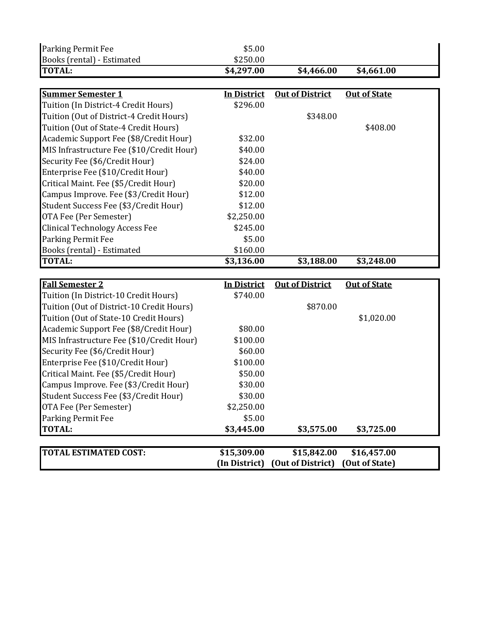| Parking Permit Fee                        | \$5.00             |                                                               |                     |  |
|-------------------------------------------|--------------------|---------------------------------------------------------------|---------------------|--|
| Books (rental) - Estimated                | \$250.00           |                                                               |                     |  |
| <b>TOTAL:</b>                             | \$4,297.00         | \$4,466.00                                                    | \$4,661.00          |  |
|                                           |                    |                                                               |                     |  |
| <b>Summer Semester 1</b>                  | <b>In District</b> | <b>Out of District</b>                                        | <b>Out of State</b> |  |
| Tuition (In District-4 Credit Hours)      | \$296.00           |                                                               |                     |  |
| Tuition (Out of District-4 Credit Hours)  |                    | \$348.00                                                      |                     |  |
| Tuition (Out of State-4 Credit Hours)     |                    |                                                               | \$408.00            |  |
| Academic Support Fee (\$8/Credit Hour)    | \$32.00            |                                                               |                     |  |
| MIS Infrastructure Fee (\$10/Credit Hour) | \$40.00            |                                                               |                     |  |
| Security Fee (\$6/Credit Hour)            | \$24.00            |                                                               |                     |  |
| Enterprise Fee (\$10/Credit Hour)         | \$40.00            |                                                               |                     |  |
| Critical Maint. Fee (\$5/Credit Hour)     | \$20.00            |                                                               |                     |  |
| Campus Improve. Fee (\$3/Credit Hour)     | \$12.00            |                                                               |                     |  |
| Student Success Fee (\$3/Credit Hour)     | \$12.00            |                                                               |                     |  |
| OTA Fee (Per Semester)                    | \$2,250.00         |                                                               |                     |  |
| <b>Clinical Technology Access Fee</b>     | \$245.00           |                                                               |                     |  |
| Parking Permit Fee                        | \$5.00             |                                                               |                     |  |
| Books (rental) - Estimated                | \$160.00           |                                                               |                     |  |
|                                           |                    |                                                               |                     |  |
| <b>TOTAL:</b>                             | \$3,136.00         | \$3,188.00                                                    | \$3,248.00          |  |
|                                           |                    |                                                               |                     |  |
| <b>Fall Semester 2</b>                    | <b>In District</b> | <b>Out of District</b>                                        | <b>Out of State</b> |  |
| Tuition (In District-10 Credit Hours)     | \$740.00           |                                                               |                     |  |
| Tuition (Out of District-10 Credit Hours) |                    | \$870.00                                                      |                     |  |
| Tuition (Out of State-10 Credit Hours)    |                    |                                                               | \$1,020.00          |  |
| Academic Support Fee (\$8/Credit Hour)    | \$80.00            |                                                               |                     |  |
| MIS Infrastructure Fee (\$10/Credit Hour) | \$100.00           |                                                               |                     |  |
| Security Fee (\$6/Credit Hour)            | \$60.00            |                                                               |                     |  |
| Enterprise Fee (\$10/Credit Hour)         | \$100.00           |                                                               |                     |  |
| Critical Maint. Fee (\$5/Credit Hour)     | \$50.00            |                                                               |                     |  |
| Campus Improve. Fee (\$3/Credit Hour)     | \$30.00            |                                                               |                     |  |
| Student Success Fee (\$3/Credit Hour)     | \$30.00            |                                                               |                     |  |
| OTA Fee (Per Semester)                    | \$2,250.00         |                                                               |                     |  |
| Parking Permit Fee                        | \$5.00             |                                                               |                     |  |
| <b>TOTAL:</b>                             | \$3,445.00         | \$3,575.00                                                    | \$3,725.00          |  |
|                                           |                    |                                                               |                     |  |
| <b>TOTAL ESTIMATED COST:</b>              | \$15,309.00        | \$15,842.00<br>(In District) (Out of District) (Out of State) | \$16,457.00         |  |